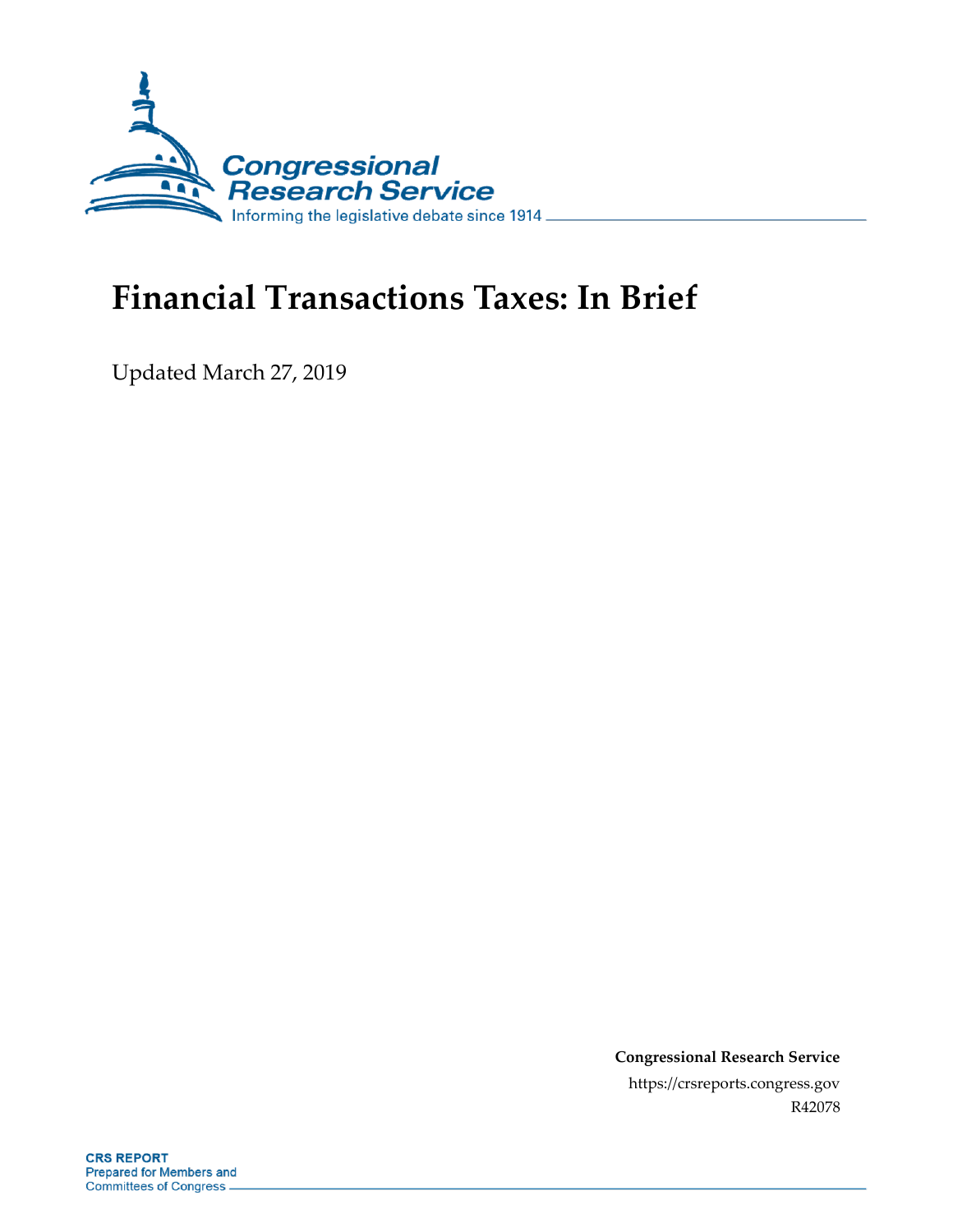

# **Financial Transactions Taxes: In Brief**

Updated March 27, 2019

**Congressional Research Service** https://crsreports.congress.gov R42078

**CRS REPORT Prepared for Members and Committees of Congress.**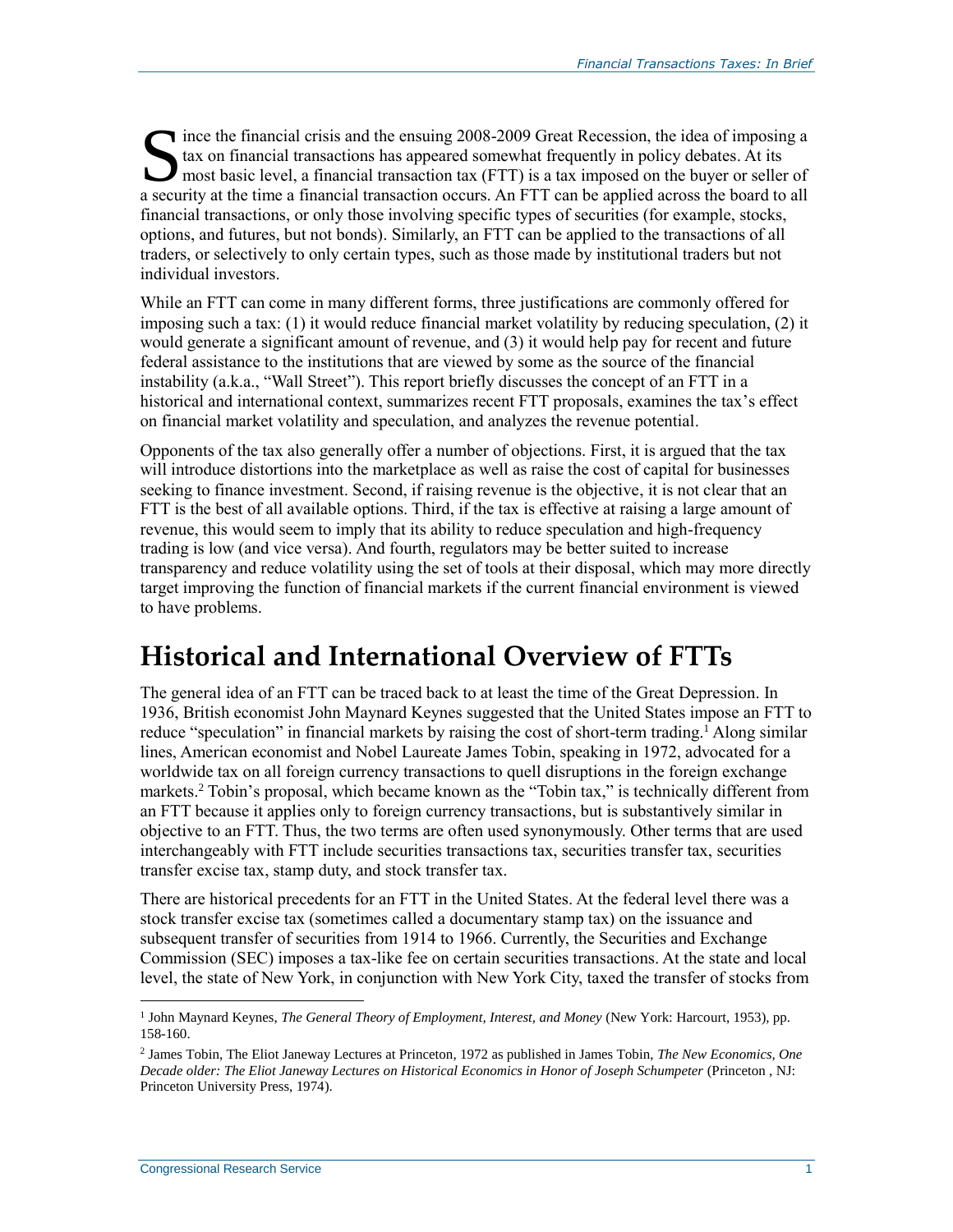Solution the financial crisis and the ensuing 2008-2009 Great Recession, the idea of imposing a tax on financial transactions has appeared somewhat frequently in policy debates. At its most basic level, a financial transac tax on financial transactions has appeared somewhat frequently in policy debates. At its most basic level, a financial transaction tax (FTT) is a tax imposed on the buyer or seller of a security at the time a financial transaction occurs. An FTT can be applied across the board to all financial transactions, or only those involving specific types of securities (for example, stocks, options, and futures, but not bonds). Similarly, an FTT can be applied to the transactions of all traders, or selectively to only certain types, such as those made by institutional traders but not individual investors.

While an FTT can come in many different forms, three justifications are commonly offered for imposing such a tax: (1) it would reduce financial market volatility by reducing speculation, (2) it would generate a significant amount of revenue, and (3) it would help pay for recent and future federal assistance to the institutions that are viewed by some as the source of the financial instability (a.k.a., "Wall Street"). This report briefly discusses the concept of an FTT in a historical and international context, summarizes recent FTT proposals, examines the tax's effect on financial market volatility and speculation, and analyzes the revenue potential.

Opponents of the tax also generally offer a number of objections. First, it is argued that the tax will introduce distortions into the marketplace as well as raise the cost of capital for businesses seeking to finance investment. Second, if raising revenue is the objective, it is not clear that an FTT is the best of all available options. Third, if the tax is effective at raising a large amount of revenue, this would seem to imply that its ability to reduce speculation and high-frequency trading is low (and vice versa). And fourth, regulators may be better suited to increase transparency and reduce volatility using the set of tools at their disposal, which may more directly target improving the function of financial markets if the current financial environment is viewed to have problems.

# **Historical and International Overview of FTTs**

The general idea of an FTT can be traced back to at least the time of the Great Depression. In 1936, British economist John Maynard Keynes suggested that the United States impose an FTT to reduce "speculation" in financial markets by raising the cost of short-term trading.<sup>1</sup> Along similar lines, American economist and Nobel Laureate James Tobin, speaking in 1972, advocated for a worldwide tax on all foreign currency transactions to quell disruptions in the foreign exchange markets.<sup>2</sup> Tobin's proposal, which became known as the "Tobin tax," is technically different from an FTT because it applies only to foreign currency transactions, but is substantively similar in objective to an FTT. Thus, the two terms are often used synonymously. Other terms that are used interchangeably with FTT include securities transactions tax, securities transfer tax, securities transfer excise tax, stamp duty, and stock transfer tax.

There are historical precedents for an FTT in the United States. At the federal level there was a stock transfer excise tax (sometimes called a documentary stamp tax) on the issuance and subsequent transfer of securities from 1914 to 1966. Currently, the Securities and Exchange Commission (SEC) imposes a tax-like fee on certain securities transactions. At the state and local level, the state of New York, in conjunction with New York City, taxed the transfer of stocks from

 $\overline{a}$ 

<sup>1</sup> John Maynard Keynes, *The General Theory of Employment, Interest, and Money* (New York: Harcourt, 1953), pp. 158-160.

<sup>2</sup> James Tobin, The Eliot Janeway Lectures at Princeton, 1972 as published in James Tobin, *The New Economics, One Decade older: The Eliot Janeway Lectures on Historical Economics in Honor of Joseph Schumpeter* (Princeton , NJ: Princeton University Press, 1974).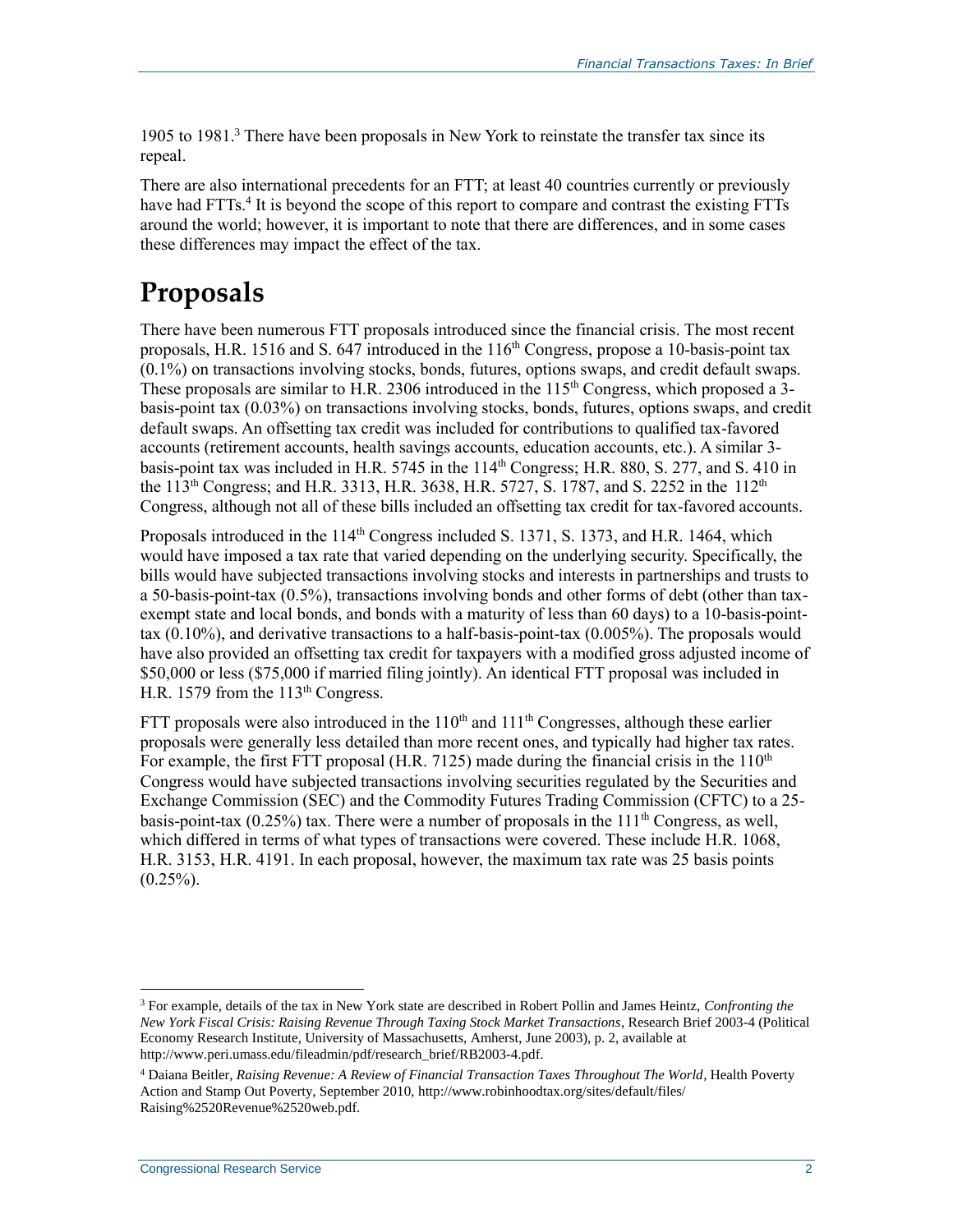1905 to 1981.<sup>3</sup> There have been proposals in New York to reinstate the transfer tax since its repeal.

There are also international precedents for an FTT; at least 40 countries currently or previously have had FTTs.<sup>4</sup> It is beyond the scope of this report to compare and contrast the existing FTTs around the world; however, it is important to note that there are differences, and in some cases these differences may impact the effect of the tax.

### **Proposals**

There have been numerous FTT proposals introduced since the financial crisis. The most recent proposals, H.R. 1516 and S. 647 introduced in the 116<sup>th</sup> Congress, propose a 10-basis-point tax (0.1%) on transactions involving stocks, bonds, futures, options swaps, and credit default swaps. These proposals are similar to H.R. 2306 introduced in the  $115<sup>th</sup>$  Congress, which proposed a 3basis-point tax (0.03%) on transactions involving stocks, bonds, futures, options swaps, and credit default swaps. An offsetting tax credit was included for contributions to qualified tax-favored accounts (retirement accounts, health savings accounts, education accounts, etc.). A similar 3 basis-point tax was included in H.R. 5745 in the 114<sup>th</sup> Congress; H.R. 880, S. 277, and S. 410 in the 113<sup>th</sup> Congress; and H.R. 3313, H.R. 3638, H.R. 5727, S. 1787, and S. 2252 in the 112<sup>th</sup> Congress, although not all of these bills included an offsetting tax credit for tax-favored accounts.

Proposals introduced in the 114<sup>th</sup> Congress included S. 1371, S. 1373, and H.R. 1464, which would have imposed a tax rate that varied depending on the underlying security. Specifically, the bills would have subjected transactions involving stocks and interests in partnerships and trusts to a 50-basis-point-tax (0.5%), transactions involving bonds and other forms of debt (other than taxexempt state and local bonds, and bonds with a maturity of less than 60 days) to a 10-basis-pointtax (0.10%), and derivative transactions to a half-basis-point-tax (0.005%). The proposals would have also provided an offsetting tax credit for taxpayers with a modified gross adjusted income of \$50,000 or less (\$75,000 if married filing jointly). An identical FTT proposal was included in H.R. 1579 from the  $113<sup>th</sup>$  Congress.

FTT proposals were also introduced in the  $110<sup>th</sup>$  and  $111<sup>th</sup>$  Congresses, although these earlier proposals were generally less detailed than more recent ones, and typically had higher tax rates. For example, the first FTT proposal (H.R. 7125) made during the financial crisis in the  $110<sup>th</sup>$ Congress would have subjected transactions involving securities regulated by the Securities and Exchange Commission (SEC) and the Commodity Futures Trading Commission (CFTC) to a 25 basis-point-tax  $(0.25\%)$  tax. There were a number of proposals in the  $111<sup>th</sup>$  Congress, as well, which differed in terms of what types of transactions were covered. These include H.R. 1068, H.R. 3153, H.R. 4191. In each proposal, however, the maximum tax rate was 25 basis points  $(0.25\%)$ .

 $\overline{a}$ 

<sup>3</sup> For example, details of the tax in New York state are described in Robert Pollin and James Heintz, *Confronting the New York Fiscal Crisis: Raising Revenue Through Taxing Stock Market Transactions*, Research Brief 2003-4 (Political Economy Research Institute, University of Massachusetts, Amherst, June 2003), p. 2, available at http://www.peri.umass.edu/fileadmin/pdf/research\_brief/RB2003-4.pdf.

<sup>4</sup> Daiana Beitler, *Raising Revenue: A Review of Financial Transaction Taxes Throughout The World*, Health Poverty Action and Stamp Out Poverty, September 2010, http://www.robinhoodtax.org/sites/default/files/ Raising%2520Revenue%2520web.pdf.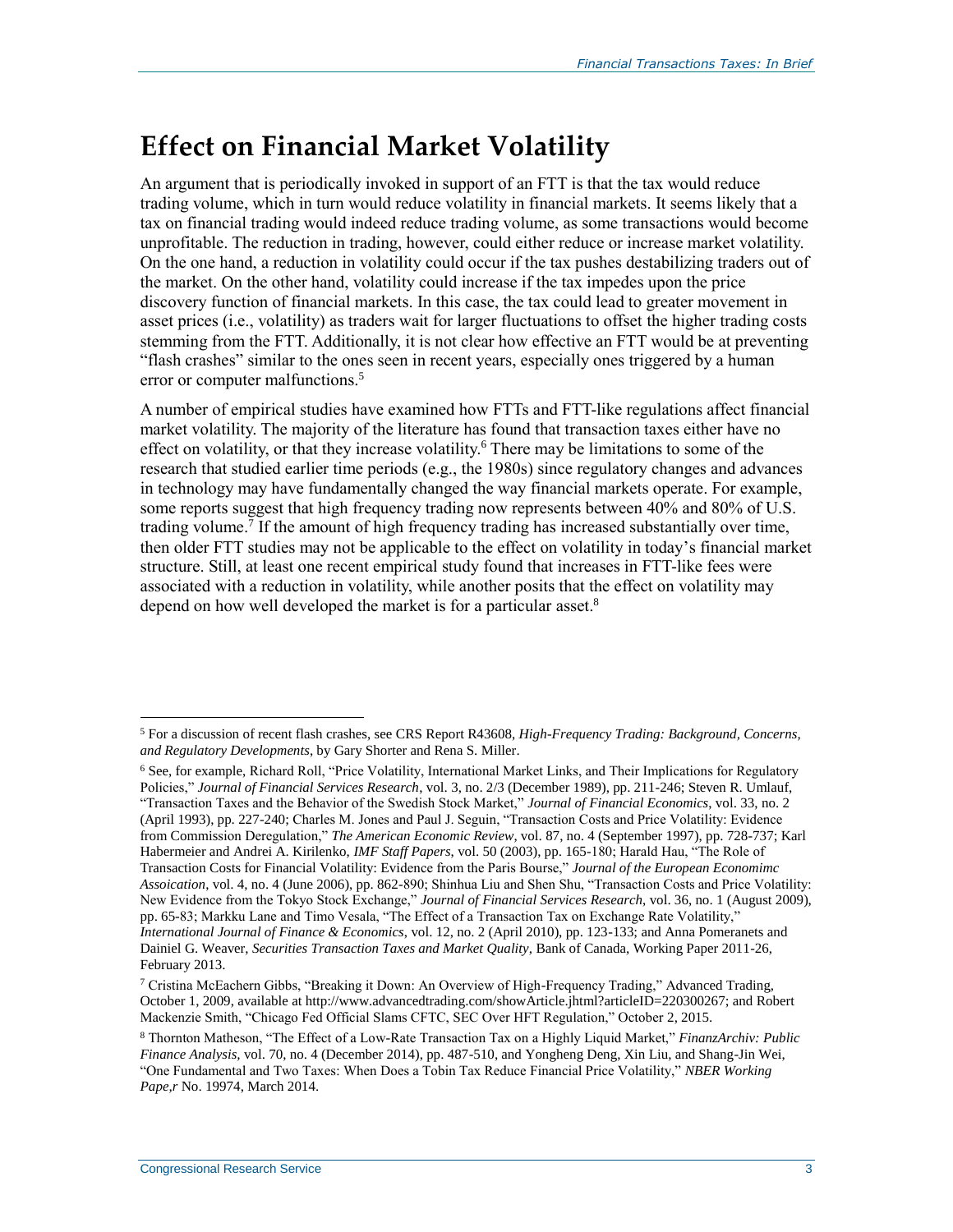# **Effect on Financial Market Volatility**

An argument that is periodically invoked in support of an FTT is that the tax would reduce trading volume, which in turn would reduce volatility in financial markets. It seems likely that a tax on financial trading would indeed reduce trading volume, as some transactions would become unprofitable. The reduction in trading, however, could either reduce or increase market volatility. On the one hand, a reduction in volatility could occur if the tax pushes destabilizing traders out of the market. On the other hand, volatility could increase if the tax impedes upon the price discovery function of financial markets. In this case, the tax could lead to greater movement in asset prices (i.e., volatility) as traders wait for larger fluctuations to offset the higher trading costs stemming from the FTT. Additionally, it is not clear how effective an FTT would be at preventing "flash crashes" similar to the ones seen in recent years, especially ones triggered by a human error or computer malfunctions.<sup>5</sup>

A number of empirical studies have examined how FTTs and FTT-like regulations affect financial market volatility. The majority of the literature has found that transaction taxes either have no effect on volatility, or that they increase volatility.<sup>6</sup> There may be limitations to some of the research that studied earlier time periods (e.g., the 1980s) since regulatory changes and advances in technology may have fundamentally changed the way financial markets operate. For example, some reports suggest that high frequency trading now represents between 40% and 80% of U.S. trading volume.<sup>7</sup> If the amount of high frequency trading has increased substantially over time, then older FTT studies may not be applicable to the effect on volatility in today's financial market structure. Still, at least one recent empirical study found that increases in FTT-like fees were associated with a reduction in volatility, while another posits that the effect on volatility may depend on how well developed the market is for a particular asset.<sup>8</sup>

 $\overline{a}$ <sup>5</sup> For a discussion of recent flash crashes, see CRS Report R43608, *High-Frequency Trading: Background, Concerns, and Regulatory Developments*, by Gary Shorter and Rena S. Miller.

<sup>6</sup> See, for example, Richard Roll, "Price Volatility, International Market Links, and Their Implications for Regulatory Policies," *Journal of Financial Services Research*, vol. 3, no. 2/3 (December 1989), pp. 211-246; Steven R. Umlauf, "Transaction Taxes and the Behavior of the Swedish Stock Market," *Journal of Financial Economics*, vol. 33, no. 2 (April 1993), pp. 227-240; Charles M. Jones and Paul J. Seguin, "Transaction Costs and Price Volatility: Evidence from Commission Deregulation," *The American Economic Review*, vol. 87, no. 4 (September 1997), pp. 728-737; Karl Habermeier and Andrei A. Kirilenko, *IMF Staff Papers*, vol. 50 (2003), pp. 165-180; Harald Hau, "The Role of Transaction Costs for Financial Volatility: Evidence from the Paris Bourse," *Journal of the European Economimc Assoication*, vol. 4, no. 4 (June 2006), pp. 862-890; Shinhua Liu and Shen Shu, "Transaction Costs and Price Volatility: New Evidence from the Tokyo Stock Exchange," *Journal of Financial Services Research*, vol. 36, no. 1 (August 2009), pp. 65-83; Markku Lane and Timo Vesala, "The Effect of a Transaction Tax on Exchange Rate Volatility," *International Journal of Finance & Economics*, vol. 12, no. 2 (April 2010), pp. 123-133; and Anna Pomeranets and Dainiel G. Weaver, *Securities Transaction Taxes and Market Quality*, Bank of Canada, Working Paper 2011-26, February 2013.

<sup>&</sup>lt;sup>7</sup> Cristina McEachern Gibbs, "Breaking it Down: An Overview of High-Frequency Trading," Advanced Trading, October 1, 2009, available at http://www.advancedtrading.com/showArticle.jhtml?articleID=220300267; and Robert Mackenzie Smith, "Chicago Fed Official Slams CFTC, SEC Over HFT Regulation," October 2, 2015.

<sup>8</sup> Thornton Matheson, "The Effect of a Low-Rate Transaction Tax on a Highly Liquid Market," *FinanzArchiv: Public Finance Analysis,* vol. 70, no. 4 (December 2014), pp. 487-510, and Yongheng Deng, Xin Liu, and Shang-Jin Wei, "One Fundamental and Two Taxes: When Does a Tobin Tax Reduce Financial Price Volatility," *NBER Working Pape,r* No. 19974, March 2014.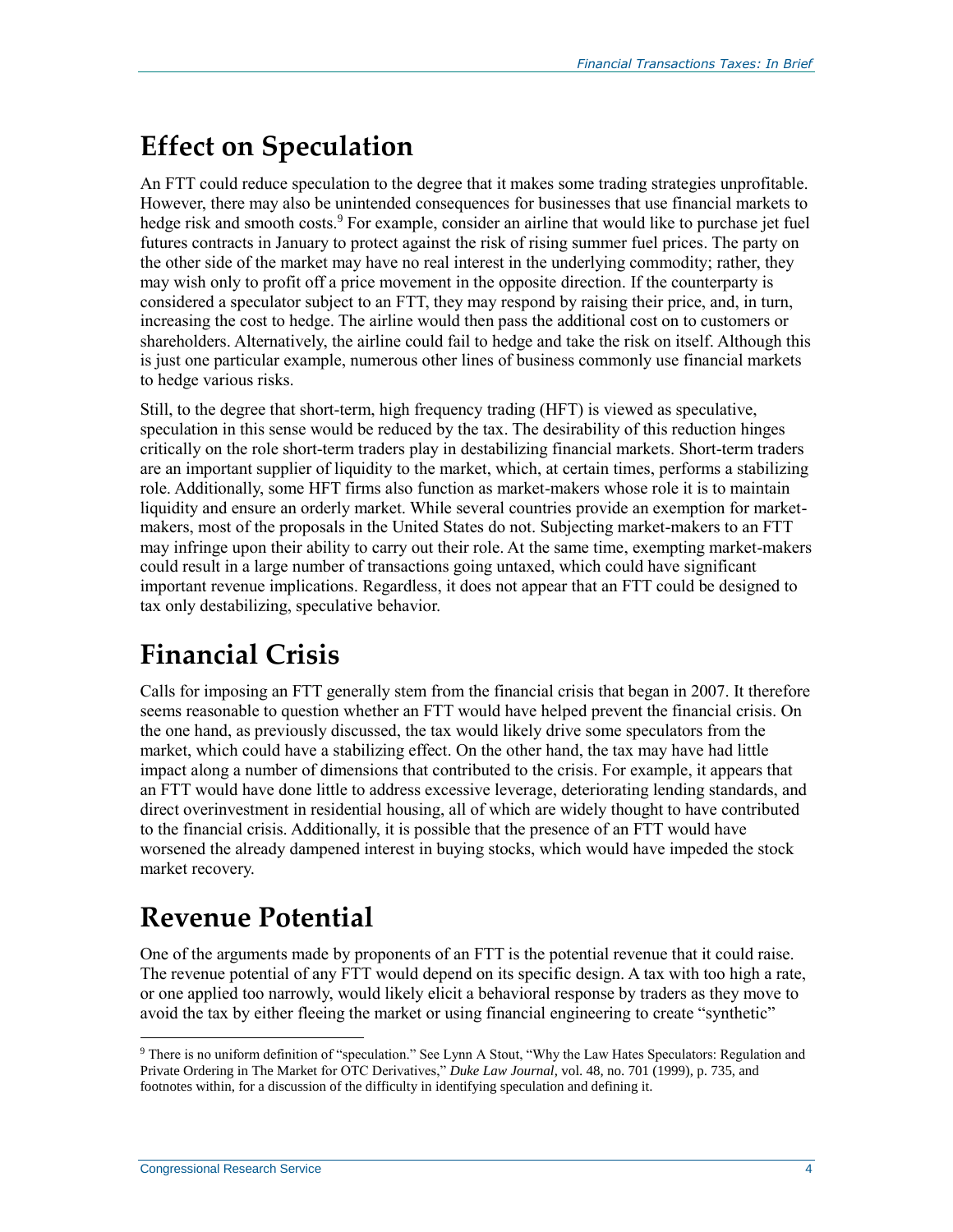# **Effect on Speculation**

An FTT could reduce speculation to the degree that it makes some trading strategies unprofitable. However, there may also be unintended consequences for businesses that use financial markets to hedge risk and smooth costs.<sup>9</sup> For example, consider an airline that would like to purchase jet fuel futures contracts in January to protect against the risk of rising summer fuel prices. The party on the other side of the market may have no real interest in the underlying commodity; rather, they may wish only to profit off a price movement in the opposite direction. If the counterparty is considered a speculator subject to an FTT, they may respond by raising their price, and, in turn, increasing the cost to hedge. The airline would then pass the additional cost on to customers or shareholders. Alternatively, the airline could fail to hedge and take the risk on itself. Although this is just one particular example, numerous other lines of business commonly use financial markets to hedge various risks.

Still, to the degree that short-term, high frequency trading (HFT) is viewed as speculative, speculation in this sense would be reduced by the tax. The desirability of this reduction hinges critically on the role short-term traders play in destabilizing financial markets. Short-term traders are an important supplier of liquidity to the market, which, at certain times, performs a stabilizing role. Additionally, some HFT firms also function as market-makers whose role it is to maintain liquidity and ensure an orderly market. While several countries provide an exemption for marketmakers, most of the proposals in the United States do not. Subjecting market-makers to an FTT may infringe upon their ability to carry out their role. At the same time, exempting market-makers could result in a large number of transactions going untaxed, which could have significant important revenue implications. Regardless, it does not appear that an FTT could be designed to tax only destabilizing, speculative behavior.

# **Financial Crisis**

Calls for imposing an FTT generally stem from the financial crisis that began in 2007. It therefore seems reasonable to question whether an FTT would have helped prevent the financial crisis. On the one hand, as previously discussed, the tax would likely drive some speculators from the market, which could have a stabilizing effect. On the other hand, the tax may have had little impact along a number of dimensions that contributed to the crisis. For example, it appears that an FTT would have done little to address excessive leverage, deteriorating lending standards, and direct overinvestment in residential housing, all of which are widely thought to have contributed to the financial crisis. Additionally, it is possible that the presence of an FTT would have worsened the already dampened interest in buying stocks, which would have impeded the stock market recovery.

# **Revenue Potential**

One of the arguments made by proponents of an FTT is the potential revenue that it could raise. The revenue potential of any FTT would depend on its specific design. A tax with too high a rate, or one applied too narrowly, would likely elicit a behavioral response by traders as they move to avoid the tax by either fleeing the market or using financial engineering to create "synthetic"

 $\overline{a}$ <sup>9</sup> There is no uniform definition of "speculation." See Lynn A Stout, "Why the Law Hates Speculators: Regulation and Private Ordering in The Market for OTC Derivatives," *Duke Law Journal*, vol. 48, no. 701 (1999), p. 735, and footnotes within, for a discussion of the difficulty in identifying speculation and defining it.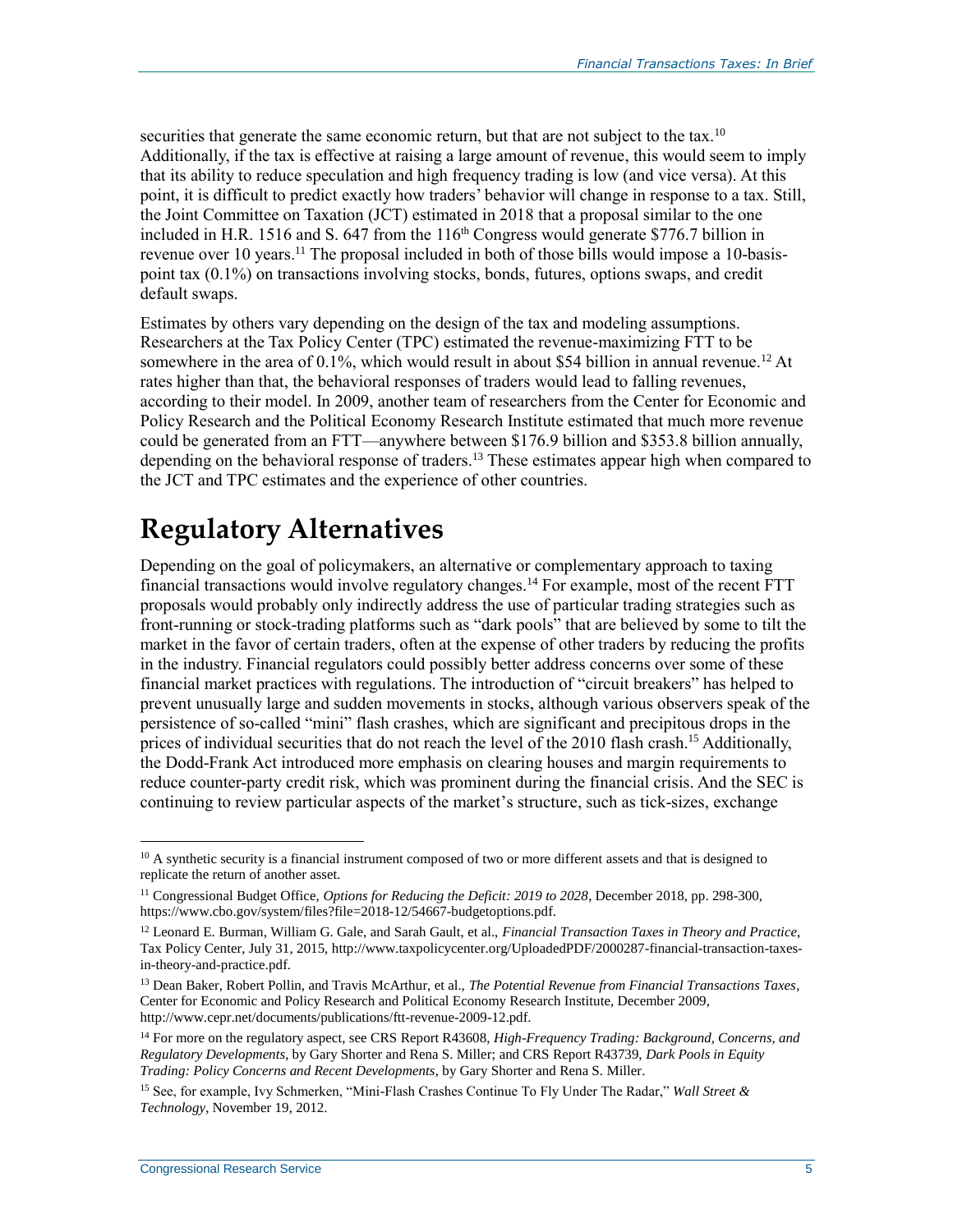securities that generate the same economic return, but that are not subject to the tax.<sup>10</sup> Additionally, if the tax is effective at raising a large amount of revenue, this would seem to imply that its ability to reduce speculation and high frequency trading is low (and vice versa). At this point, it is difficult to predict exactly how traders' behavior will change in response to a tax. Still, the Joint Committee on Taxation (JCT) estimated in 2018 that a proposal similar to the one included in H.R. 1516 and S. 647 from the 116<sup>th</sup> Congress would generate \$776.7 billion in revenue over 10 years.<sup>11</sup> The proposal included in both of those bills would impose a 10-basispoint tax (0.1%) on transactions involving stocks, bonds, futures, options swaps, and credit default swaps.

Estimates by others vary depending on the design of the tax and modeling assumptions. Researchers at the Tax Policy Center (TPC) estimated the revenue-maximizing FTT to be somewhere in the area of 0.1%, which would result in about \$54 billion in annual revenue.<sup>12</sup> At rates higher than that, the behavioral responses of traders would lead to falling revenues, according to their model. In 2009, another team of researchers from the Center for Economic and Policy Research and the Political Economy Research Institute estimated that much more revenue could be generated from an FTT—anywhere between \$176.9 billion and \$353.8 billion annually, depending on the behavioral response of traders.<sup>13</sup> These estimates appear high when compared to the JCT and TPC estimates and the experience of other countries.

# **Regulatory Alternatives**

Depending on the goal of policymakers, an alternative or complementary approach to taxing financial transactions would involve regulatory changes.<sup>14</sup> For example, most of the recent FTT proposals would probably only indirectly address the use of particular trading strategies such as front-running or stock-trading platforms such as "dark pools" that are believed by some to tilt the market in the favor of certain traders, often at the expense of other traders by reducing the profits in the industry. Financial regulators could possibly better address concerns over some of these financial market practices with regulations. The introduction of "circuit breakers" has helped to prevent unusually large and sudden movements in stocks, although various observers speak of the persistence of so-called "mini" flash crashes, which are significant and precipitous drops in the prices of individual securities that do not reach the level of the 2010 flash crash.<sup>15</sup> Additionally, the Dodd-Frank Act introduced more emphasis on clearing houses and margin requirements to reduce counter-party credit risk, which was prominent during the financial crisis. And the SEC is continuing to review particular aspects of the market's structure, such as tick-sizes, exchange

 $\overline{a}$ 

<sup>&</sup>lt;sup>10</sup> A synthetic security is a financial instrument composed of two or more different assets and that is designed to replicate the return of another asset.

<sup>11</sup> Congressional Budget Office, *Options for Reducing the Deficit: 2019 to 2028*, December 2018, pp. 298-300, https://www.cbo.gov/system/files?file=2018-12/54667-budgetoptions.pdf.

<sup>12</sup> Leonard E. Burman, William G. Gale, and Sarah Gault, et al., *Financial Transaction Taxes in Theory and Practice*, Tax Policy Center, July 31, 2015, http://www.taxpolicycenter.org/UploadedPDF/2000287-financial-transaction-taxesin-theory-and-practice.pdf.

<sup>13</sup> Dean Baker, Robert Pollin, and Travis McArthur, et al., *The Potential Revenue from Financial Transactions Taxes*, Center for Economic and Policy Research and Political Economy Research Institute, December 2009, http://www.cepr.net/documents/publications/ftt-revenue-2009-12.pdf.

<sup>14</sup> For more on the regulatory aspect, see CRS Report R43608, *High-Frequency Trading: Background, Concerns, and Regulatory Developments*, by Gary Shorter and Rena S. Miller; and CRS Report R43739, *Dark Pools in Equity Trading: Policy Concerns and Recent Developments*, by Gary Shorter and Rena S. Miller.

<sup>15</sup> See, for example, Ivy Schmerken, "Mini-Flash Crashes Continue To Fly Under The Radar," *Wall Street & Technology*, November 19, 2012.